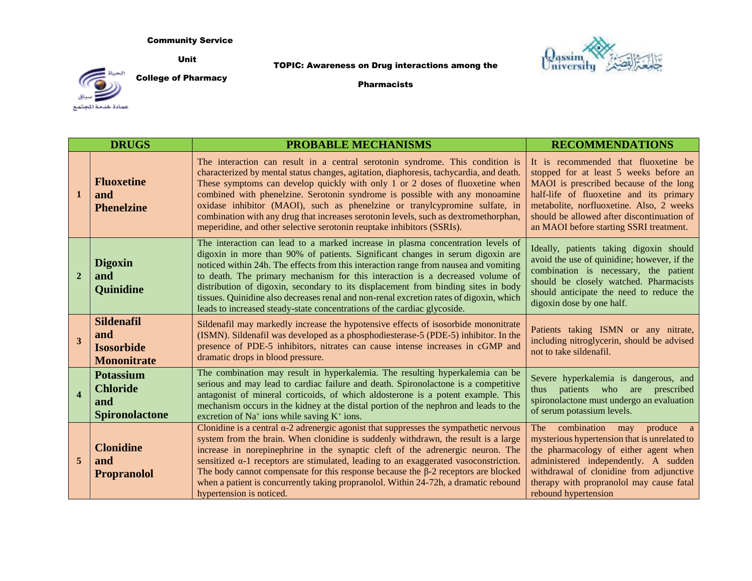## Community Service

Unit

## TOPIC: Awareness on Drug interactions among the





College of Pharmacy

Pharmacists

|                  | <b>DRUGS</b>                                                        | <b>PROBABLE MECHANISMS</b>                                                                                                                                                                                                                                                                                                                                                                                                                                                                                                                                                                             | <b>RECOMMENDATIONS</b>                                                                                                                                                                                                                                                                                   |
|------------------|---------------------------------------------------------------------|--------------------------------------------------------------------------------------------------------------------------------------------------------------------------------------------------------------------------------------------------------------------------------------------------------------------------------------------------------------------------------------------------------------------------------------------------------------------------------------------------------------------------------------------------------------------------------------------------------|----------------------------------------------------------------------------------------------------------------------------------------------------------------------------------------------------------------------------------------------------------------------------------------------------------|
| $\mathbf{1}$     | <b>Fluoxetine</b><br>and<br><b>Phenelzine</b>                       | The interaction can result in a central serotonin syndrome. This condition is<br>characterized by mental status changes, agitation, diaphoresis, tachycardia, and death.<br>These symptoms can develop quickly with only 1 or 2 doses of fluoxetine when<br>combined with phenelzine. Serotonin syndrome is possible with any monoamine<br>oxidase inhibitor (MAOI), such as phenelzine or tranylcypromine sulfate, in<br>combination with any drug that increases serotonin levels, such as dextromethorphan,<br>meperidine, and other selective serotonin reuptake inhibitors (SSRIs).               | It is recommended that fluoxetine be<br>stopped for at least 5 weeks before an<br>MAOI is prescribed because of the long<br>half-life of fluoxetine and its primary<br>metabolite, norfluoxetine. Also, 2 weeks<br>should be allowed after discontinuation of<br>an MAOI before starting SSRI treatment. |
| $\overline{2}$   | <b>Digoxin</b><br>and<br><b>Quinidine</b>                           | The interaction can lead to a marked increase in plasma concentration levels of<br>digoxin in more than 90% of patients. Significant changes in serum digoxin are<br>noticed within 24h. The effects from this interaction range from nausea and vomiting<br>to death. The primary mechanism for this interaction is a decreased volume of<br>distribution of digoxin, secondary to its displacement from binding sites in body<br>tissues. Quinidine also decreases renal and non-renal excretion rates of digoxin, which<br>leads to increased steady-state concentrations of the cardiac glycoside. | Ideally, patients taking digoxin should<br>avoid the use of quinidine; however, if the<br>combination is necessary, the patient<br>should be closely watched. Pharmacists<br>should anticipate the need to reduce the<br>digoxin dose by one half.                                                       |
| 3                | <b>Sildenafil</b><br>and<br><b>Isosorbide</b><br><b>Mononitrate</b> | Sildenafil may markedly increase the hypotensive effects of isosorbide mononitrate<br>(ISMN). Sildenafil was developed as a phosphodiesterase-5 (PDE-5) inhibitor. In the<br>presence of PDE-5 inhibitors, nitrates can cause intense increases in cGMP and<br>dramatic drops in blood pressure.                                                                                                                                                                                                                                                                                                       | Patients taking ISMN or any nitrate,<br>including nitroglycerin, should be advised<br>not to take sildenafil.                                                                                                                                                                                            |
| $\boldsymbol{4}$ | <b>Potassium</b><br><b>Chloride</b><br>and<br><b>Spironolactone</b> | The combination may result in hyperkalemia. The resulting hyperkalemia can be<br>serious and may lead to cardiac failure and death. Spironolactone is a competitive<br>antagonist of mineral corticoids, of which aldosterone is a potent example. This<br>mechanism occurs in the kidney at the distal portion of the nephron and leads to the<br>excretion of Na <sup>+</sup> ions while saving $K^+$ ions.                                                                                                                                                                                          | Severe hyperkalemia is dangerous, and<br>patients who are prescribed<br>thus<br>spironolactone must undergo an evaluation<br>of serum potassium levels.                                                                                                                                                  |
| 5                | <b>Clonidine</b><br>and<br><b>Propranolol</b>                       | Clonidine is a central $\alpha$ -2 adrenergic agonist that suppresses the sympathetic nervous<br>system from the brain. When clonidine is suddenly withdrawn, the result is a large<br>increase in norepinephrine in the synaptic cleft of the adrenergic neuron. The<br>sensitized $\alpha$ -1 receptors are stimulated, leading to an exaggerated vasoconstriction.<br>The body cannot compensate for this response because the $\beta$ -2 receptors are blocked<br>when a patient is concurrently taking propranolol. Within 24-72h, a dramatic rebound<br>hypertension is noticed.                 | combination may produce a<br>The<br>mysterious hypertension that is unrelated to<br>the pharmacology of either agent when<br>administered independently. A sudden<br>withdrawal of clonidine from adjunctive<br>therapy with propranolol may cause fatal<br>rebound hypertension                         |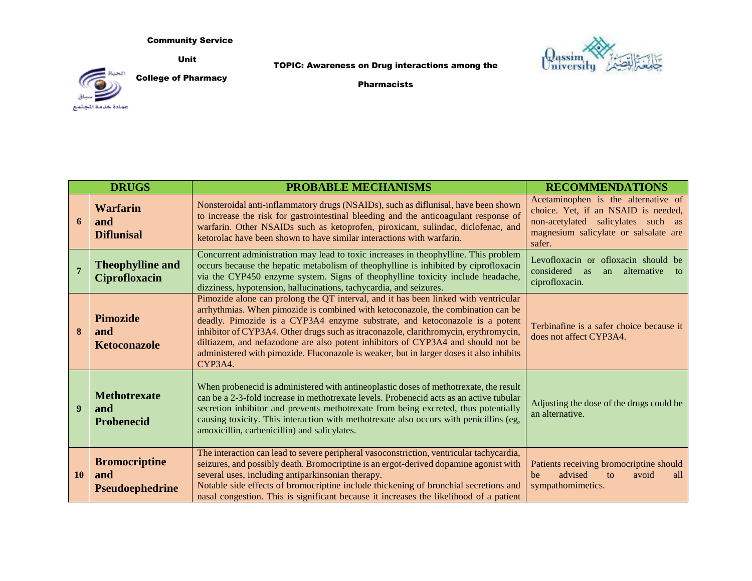Community Service

Unit

TOPIC: Awareness on Drug interactions among the





College of Pharmacy

Pharmacists

|                | <b>DRUGS</b>                                          | <b>PROBABLE MECHANISMS</b>                                                                                                                                                                                                                                                                                                                                                                                                                                                                                                               | <b>RECOMMENDATIONS</b>                                                                                                                                              |
|----------------|-------------------------------------------------------|------------------------------------------------------------------------------------------------------------------------------------------------------------------------------------------------------------------------------------------------------------------------------------------------------------------------------------------------------------------------------------------------------------------------------------------------------------------------------------------------------------------------------------------|---------------------------------------------------------------------------------------------------------------------------------------------------------------------|
| 6              | <b>Warfarin</b><br>and<br><b>Diflunisal</b>           | Nonsteroidal anti-inflammatory drugs (NSAIDs), such as diflunisal, have been shown<br>to increase the risk for gastrointestinal bleeding and the anticoagulant response of<br>warfarin. Other NSAIDs such as ketoprofen, piroxicam, sulindac, diclofenac, and<br>ketorolac have been shown to have similar interactions with warfarin.                                                                                                                                                                                                   | Acetaminophen is the alternative of<br>choice. Yet, if an NSAID is needed,<br>non-acetylated salicylates such as<br>magnesium salicylate or salsalate are<br>safer. |
| $\overline{7}$ | <b>Theophylline and</b><br><b>Ciprofloxacin</b>       | Concurrent administration may lead to toxic increases in theophylline. This problem<br>occurs because the hepatic metabolism of theophylline is inhibited by ciprofloxacin<br>via the CYP450 enzyme system. Signs of theophylline toxicity include headache,<br>dizziness, hypotension, hallucinations, tachycardia, and seizures.                                                                                                                                                                                                       | Levofloxacin or ofloxacin should be<br>considered<br>alternative<br>as<br>an<br>to<br>ciprofloxacin.                                                                |
| $\bf{8}$       | <b>Pimozide</b><br>and<br><b>Ketoconazole</b>         | Pimozide alone can prolong the QT interval, and it has been linked with ventricular<br>arrhythmias. When pimozide is combined with ketoconazole, the combination can be<br>deadly. Pimozide is a CYP3A4 enzyme substrate, and ketoconazole is a potent<br>inhibitor of CYP3A4. Other drugs such as itraconazole, clarithromycin, erythromycin,<br>diltiazem, and nefazodone are also potent inhibitors of CYP3A4 and should not be<br>administered with pimozide. Fluconazole is weaker, but in larger doses it also inhibits<br>CYP3A4. | Terbinafine is a safer choice because it<br>does not affect CYP3A4.                                                                                                 |
| 9              | <b>Methotrexate</b><br>and<br><b>Probenecid</b>       | When probenecid is administered with antineoplastic doses of methotrexate, the result<br>can be a 2-3-fold increase in methotrexate levels. Probenecid acts as an active tubular<br>secretion inhibitor and prevents methotrexate from being excreted, thus potentially<br>causing toxicity. This interaction with methotrexate also occurs with penicillins (eg,<br>amoxicillin, carbenicillin) and salicylates.                                                                                                                        | Adjusting the dose of the drugs could be<br>an alternative.                                                                                                         |
| <b>10</b>      | <b>Bromocriptine</b><br>and<br><b>Pseudoephedrine</b> | The interaction can lead to severe peripheral vasoconstriction, ventricular tachycardia,<br>seizures, and possibly death. Bromocriptine is an ergot-derived dopamine agonist with<br>several uses, including antiparkinsonian therapy.<br>Notable side effects of bromocriptine include thickening of bronchial secretions and<br>nasal congestion. This is significant because it increases the likelihood of a patient                                                                                                                 | Patients receiving bromocriptine should<br>advised<br>be<br>to<br>avoid<br>all<br>sympathomimetics.                                                                 |